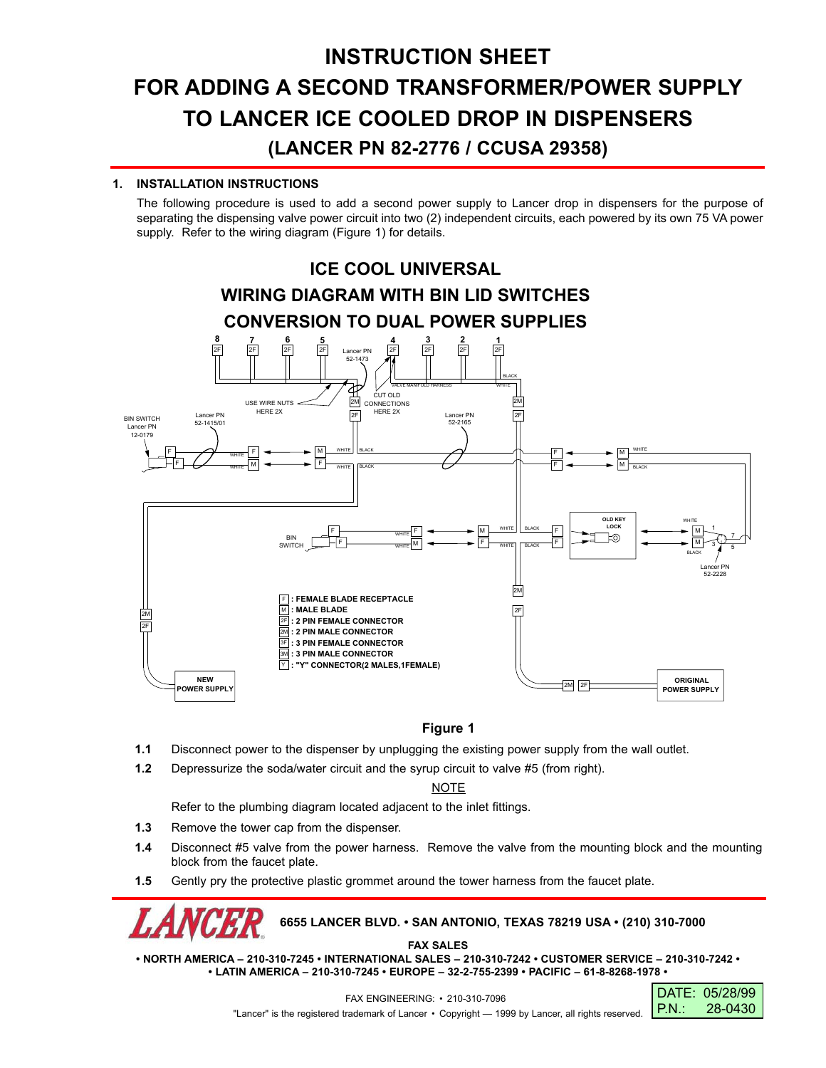# **INSTRUCTION SHEET FOR ADDING A SECOND TRANSFORMER/POWER SUPPLY TO LANCER ICE COOLED DROP IN DISPENSERS (LANCER PN 82-2776 / CCUSA 29358)**

### **1. INSTALLATION INSTRUCTIONS**

The following procedure is used to add a second power supply to Lancer drop in dispensers for the purpose of separating the dispensing valve power circuit into two (2) independent circuits, each powered by its own 75 VA power supply. Refer to the wiring diagram (Figure 1) for details.



## **Figure 1**

- **1.1** Disconnect power to the dispenser by unplugging the existing power supply from the wall outlet.
- **1.2** Depressurize the soda/water circuit and the syrup circuit to valve #5 (from right).

### **NOTE**

Refer to the plumbing diagram located adjacent to the inlet fittings.

- **1.3** Remove the tower cap from the dispenser.
- **1.4** Disconnect #5 valve from the power harness. Remove the valve from the mounting block and the mounting block from the faucet plate.
- **1.5** Gently pry the protective plastic grommet around the tower harness from the faucet plate.

## **6655 LANCER BLVD. • SAN ANTONIO, TEXAS 78219 USA • (210) 310-7000**

**FAX SALES**

**• NORTH AMERICA – 210-310-7245 • INTERNATIONAL SALES – 210-310-7242 • CUSTOMER SERVICE – 210-310-7242 • • LATIN AMERICA – 210-310-7245 • EUROPE – 32-2-755-2399 • PACIFIC – 61-8-8268-1978 •**